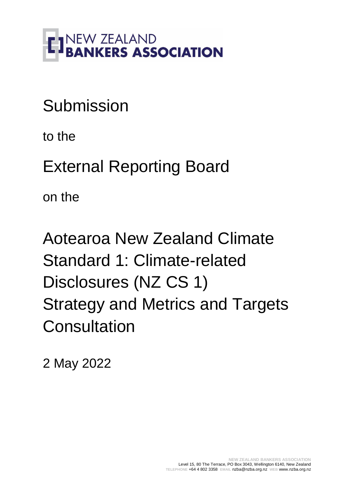

# Submission

to the

External Reporting Board

on the

Aotearoa New Zealand Climate Standard 1: Climate-related Disclosures (NZ CS 1) Strategy and Metrics and Targets **Consultation** 

2 May 2022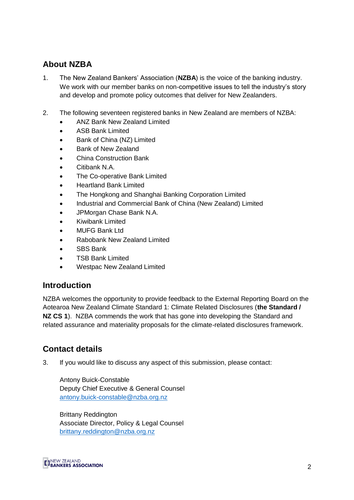# **About NZBA**

- 1. The New Zealand Bankers' Association (**NZBA**) is the voice of the banking industry. We work with our member banks on non-competitive issues to tell the industry's story and develop and promote policy outcomes that deliver for New Zealanders.
- 2. The following seventeen registered banks in New Zealand are members of NZBA:
	- ANZ Bank New Zealand Limited
	- ASB Bank Limited
	- Bank of China (NZ) Limited
	- Bank of New Zealand
	- China Construction Bank
	- Citibank N.A.
	- The Co-operative Bank Limited
	- Heartland Bank Limited
	- The Hongkong and Shanghai Banking Corporation Limited
	- Industrial and Commercial Bank of China (New Zealand) Limited
	- JPMorgan Chase Bank N.A.
	- Kiwibank Limited
	- MUFG Bank Ltd
	- Rabobank New Zealand Limited
	- SBS Bank
	- TSB Bank Limited
	- Westpac New Zealand Limited

# **Introduction**

NZBA welcomes the opportunity to provide feedback to the External Reporting Board on the Aotearoa New Zealand Climate Standard 1: Climate Related Disclosures (**the Standard / NZ CS 1**). NZBA commends the work that has gone into developing the Standard and related assurance and materiality proposals for the climate-related disclosures framework.

# **Contact details**

3. If you would like to discuss any aspect of this submission, please contact:

Antony Buick-Constable Deputy Chief Executive & General Counsel [antony.buick-constable@nzba.org.nz](mailto:antony.buick-constable@nzba.org.nz)

Brittany Reddington Associate Director, Policy & Legal Counsel [brittany.reddington@nzba.org.nz](mailto:olivia.bouchier@nzba.org.nz) 

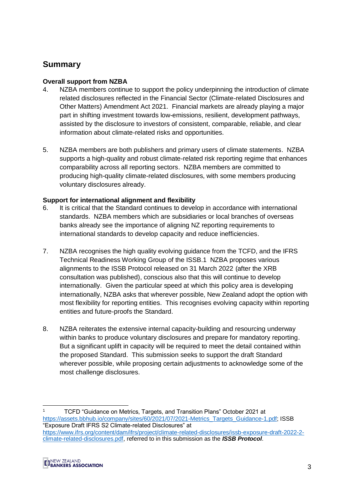# **Summary**

# **Overall support from NZBA**

- 4. NZBA members continue to support the policy underpinning the introduction of climate related disclosures reflected in the Financial Sector (Climate-related Disclosures and Other Matters) Amendment Act 2021. Financial markets are already playing a major part in shifting investment towards low-emissions, resilient, development pathways, assisted by the disclosure to investors of consistent, comparable, reliable, and clear information about climate-related risks and opportunities.
- 5. NZBA members are both publishers and primary users of climate statements. NZBA supports a high-quality and robust climate-related risk reporting regime that enhances comparability across all reporting sectors. NZBA members are committed to producing high-quality climate-related disclosures, with some members producing voluntary disclosures already.

# **Support for international alignment and flexibility**

- 6. It is critical that the Standard continues to develop in accordance with international standards. NZBA members which are subsidiaries or local branches of overseas banks already see the importance of aligning NZ reporting requirements to international standards to develop capacity and reduce inefficiencies.
- 7. NZBA recognises the high quality evolving guidance from the TCFD, and the IFRS Technical Readiness Working Group of the ISSB.1 NZBA proposes various alignments to the ISSB Protocol released on 31 March 2022 (after the XRB consultation was published), conscious also that this will continue to develop internationally. Given the particular speed at which this policy area is developing internationally, NZBA asks that wherever possible, New Zealand adopt the option with most flexibility for reporting entities. This recognises evolving capacity within reporting entities and future-proofs the Standard.
- 8. NZBA reiterates the extensive internal capacity-building and resourcing underway within banks to produce voluntary disclosures and prepare for mandatory reporting. But a significant uplift in capacity will be required to meet the detail contained within the proposed Standard. This submission seeks to support the draft Standard wherever possible, while proposing certain adjustments to acknowledge some of the most challenge disclosures.

-

<sup>1</sup> TCFD "Guidance on Metrics, Targets, and Transition Plans" October 2021 at [https://assets.bbhub.io/company/sites/60/2021/07/2021-Metrics\\_Targets\\_Guidance-1.pdf;](https://assets.bbhub.io/company/sites/60/2021/07/2021-Metrics_Targets_Guidance-1.pdf) ISSB "Exposure Draft IFRS S2 Climate-related Disclosures" at [https://www.ifrs.org/content/dam/ifrs/project/climate-related-disclosures/issb-exposure-draft-2022-2](https://www.ifrs.org/content/dam/ifrs/project/climate-related-disclosures/issb-exposure-draft-2022-2-climate-related-disclosures.pdf) [climate-related-disclosures.pdf,](https://www.ifrs.org/content/dam/ifrs/project/climate-related-disclosures/issb-exposure-draft-2022-2-climate-related-disclosures.pdf) referred to in this submission as the *ISSB Protocol*.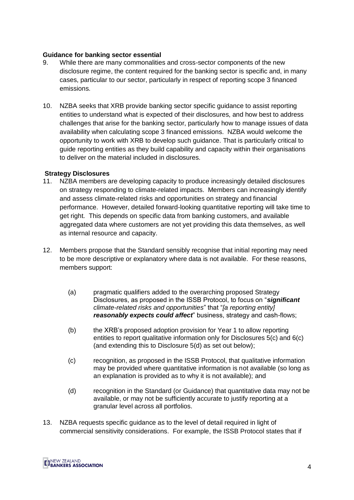#### **Guidance for banking sector essential**

- 9. While there are many commonalities and cross-sector components of the new disclosure regime, the content required for the banking sector is specific and, in many cases, particular to our sector, particularly in respect of reporting scope 3 financed emissions.
- 10. NZBA seeks that XRB provide banking sector specific guidance to assist reporting entities to understand what is expected of their disclosures, and how best to address challenges that arise for the banking sector, particularly how to manage issues of data availability when calculating scope 3 financed emissions. NZBA would welcome the opportunity to work with XRB to develop such guidance. That is particularly critical to guide reporting entities as they build capability and capacity within their organisations to deliver on the material included in disclosures.

#### **Strategy Disclosures**

- 11. NZBA members are developing capacity to produce increasingly detailed disclosures on strategy responding to climate-related impacts. Members can increasingly identify and assess climate-related risks and opportunities on strategy and financial performance. However, detailed forward-looking quantitative reporting will take time to get right. This depends on specific data from banking customers, and available aggregated data where customers are not yet providing this data themselves, as well as internal resource and capacity.
- 12. Members propose that the Standard sensibly recognise that initial reporting may need to be more descriptive or explanatory where data is not available. For these reasons, members support:
	- (a) pragmatic qualifiers added to the overarching proposed Strategy Disclosures, as proposed in the ISSB Protocol, to focus on "*significant climate-related risks and opportunities*" that "*[a reporting entity] reasonably expects could affect*" business, strategy and cash-flows;
	- (b) the XRB's proposed adoption provision for Year 1 to allow reporting entities to report qualitative information only for Disclosures 5(c) and 6(c) (and extending this to Disclosure 5(d) as set out below);
	- (c) recognition, as proposed in the ISSB Protocol, that qualitative information may be provided where quantitative information is not available (so long as an explanation is provided as to why it is not available); and
	- (d) recognition in the Standard (or Guidance) that quantitative data may not be available, or may not be sufficiently accurate to justify reporting at a granular level across all portfolios.
- 13. NZBA requests specific guidance as to the level of detail required in light of commercial sensitivity considerations. For example, the ISSB Protocol states that if

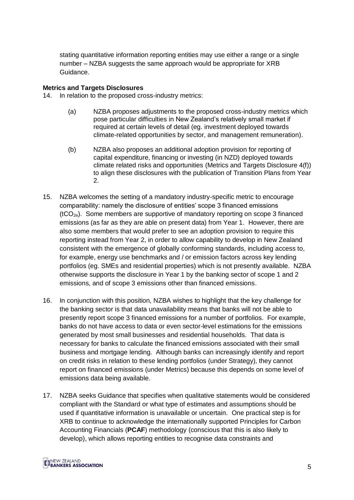stating quantitative information reporting entities may use either a range or a single number – NZBA suggests the same approach would be appropriate for XRB Guidance.

#### **Metrics and Targets Disclosures**

14. In relation to the proposed cross-industry metrics:

- (a) NZBA proposes adjustments to the proposed cross-industry metrics which pose particular difficulties in New Zealand's relatively small market if required at certain levels of detail (eg. investment deployed towards climate-related opportunities by sector, and management remuneration).
- (b) NZBA also proposes an additional adoption provision for reporting of capital expenditure, financing or investing (in NZD) deployed towards climate related risks and opportunities (Metrics and Targets Disclosure 4(f)) to align these disclosures with the publication of Transition Plans from Year 2.
- 15. NZBA welcomes the setting of a mandatory industry-specific metric to encourage comparability: namely the disclosure of entities' scope 3 financed emissions  $(tCO<sub>2e</sub>)$ . Some members are supportive of mandatory reporting on scope 3 financed emissions (as far as they are able on present data) from Year 1. However, there are also some members that would prefer to see an adoption provision to require this reporting instead from Year 2, in order to allow capability to develop in New Zealand consistent with the emergence of globally conforming standards, including access to, for example, energy use benchmarks and / or emission factors across key lending portfolios (eg. SMEs and residential properties) which is not presently available. NZBA otherwise supports the disclosure in Year 1 by the banking sector of scope 1 and 2 emissions, and of scope 3 emissions other than financed emissions.
- 16. In conjunction with this position, NZBA wishes to highlight that the key challenge for the banking sector is that data unavailability means that banks will not be able to presently report scope 3 financed emissions for a number of portfolios. For example, banks do not have access to data or even sector-level estimations for the emissions generated by most small businesses and residential households. That data is necessary for banks to calculate the financed emissions associated with their small business and mortgage lending. Although banks can increasingly identify and report on credit risks in relation to these lending portfolios (under Strategy), they cannot report on financed emissions (under Metrics) because this depends on some level of emissions data being available.
- 17. NZBA seeks Guidance that specifies when qualitative statements would be considered compliant with the Standard or what type of estimates and assumptions should be used if quantitative information is unavailable or uncertain. One practical step is for XRB to continue to acknowledge the internationally supported Principles for Carbon Accounting Financials (**PCAF**) methodology (conscious that this is also likely to develop), which allows reporting entities to recognise data constraints and

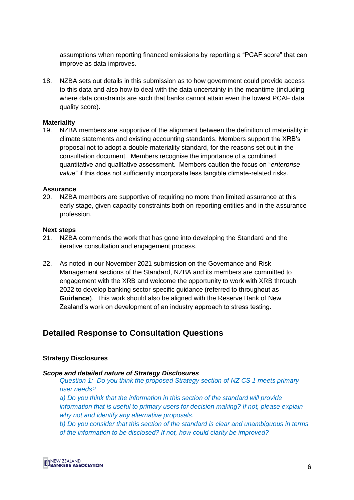assumptions when reporting financed emissions by reporting a "PCAF score" that can improve as data improves.

18. NZBA sets out details in this submission as to how government could provide access to this data and also how to deal with the data uncertainty in the meantime (including where data constraints are such that banks cannot attain even the lowest PCAF data quality score).

#### **Materiality**

19. NZBA members are supportive of the alignment between the definition of materiality in climate statements and existing accounting standards. Members support the XRB's proposal not to adopt a double materiality standard, for the reasons set out in the consultation document. Members recognise the importance of a combined quantitative and qualitative assessment. Members caution the focus on "*enterprise value*" if this does not sufficiently incorporate less tangible climate-related risks.

#### **Assurance**

20. NZBA members are supportive of requiring no more than limited assurance at this early stage, given capacity constraints both on reporting entities and in the assurance profession.

#### **Next steps**

- 21. NZBA commends the work that has gone into developing the Standard and the iterative consultation and engagement process.
- 22. As noted in our November 2021 submission on the Governance and Risk Management sections of the Standard, NZBA and its members are committed to engagement with the XRB and welcome the opportunity to work with XRB through 2022 to develop banking sector-specific guidance (referred to throughout as **Guidance**). This work should also be aligned with the Reserve Bank of New Zealand's work on development of an industry approach to stress testing.

# **Detailed Response to Consultation Questions**

#### **Strategy Disclosures**

#### *Scope and detailed nature of Strategy Disclosures*

*Question 1: Do you think the proposed Strategy section of NZ CS 1 meets primary user needs?* 

*a) Do you think that the information in this section of the standard will provide information that is useful to primary users for decision making? If not, please explain why not and identify any alternative proposals.* 

*b) Do you consider that this section of the standard is clear and unambiguous in terms of the information to be disclosed? If not, how could clarity be improved?* 

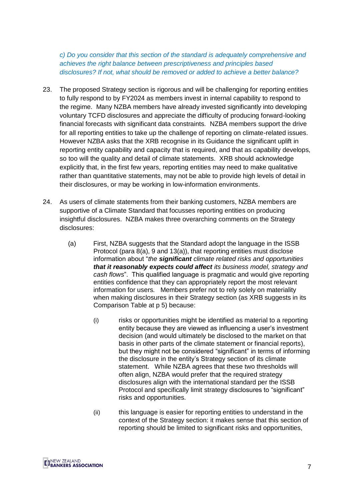*c) Do you consider that this section of the standard is adequately comprehensive and achieves the right balance between prescriptiveness and principles based disclosures? If not, what should be removed or added to achieve a better balance?*

- 23. The proposed Strategy section is rigorous and will be challenging for reporting entities to fully respond to by FY2024 as members invest in internal capability to respond to the regime. Many NZBA members have already invested significantly into developing voluntary TCFD disclosures and appreciate the difficulty of producing forward-looking financial forecasts with significant data constraints. NZBA members support the drive for all reporting entities to take up the challenge of reporting on climate-related issues. However NZBA asks that the XRB recognise in its Guidance the significant uplift in reporting entity capability and capacity that is required, and that as capability develops, so too will the quality and detail of climate statements. XRB should acknowledge explicitly that, in the first few years, reporting entities may need to make qualitative rather than quantitative statements, may not be able to provide high levels of detail in their disclosures, or may be working in low-information environments.
- 24. As users of climate statements from their banking customers, NZBA members are supportive of a Climate Standard that focusses reporting entities on producing insightful disclosures. NZBA makes three overarching comments on the Strategy disclosures:
	- (a) First, NZBA suggests that the Standard adopt the language in the ISSB Protocol (para 8(a), 9 and 13(a)), that reporting entities must disclose information about "*the significant climate related risks and opportunities that it reasonably expects could affect its business model, strategy and cash flows*". This qualified language is pragmatic and would give reporting entities confidence that they can appropriately report the most relevant information for users. Members prefer not to rely solely on materiality when making disclosures in their Strategy section (as XRB suggests in its Comparison Table at p 5) because:
		- (i) risks or opportunities might be identified as material to a reporting entity because they are viewed as influencing a user's investment decision (and would ultimately be disclosed to the market on that basis in other parts of the climate statement or financial reports), but they might not be considered "significant" in terms of informing the disclosure in the entity's Strategy section of its climate statement. While NZBA agrees that these two thresholds will often align, NZBA would prefer that the required strategy disclosures align with the international standard per the ISSB Protocol and specifically limit strategy disclosures to "significant" risks and opportunities.
		- (ii) this language is easier for reporting entities to understand in the context of the Strategy section: it makes sense that this section of reporting should be limited to significant risks and opportunities,

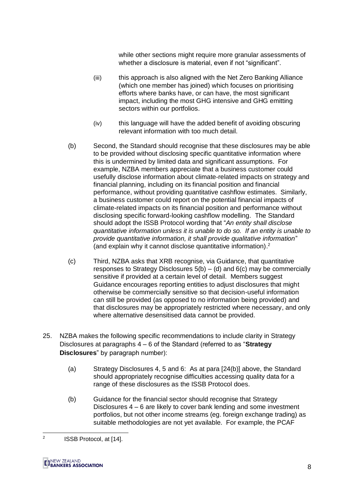while other sections might require more granular assessments of whether a disclosure is material, even if not "significant".

- (iii) this approach is also aligned with the Net Zero Banking Alliance (which one member has joined) which focuses on prioritising efforts where banks have, or can have, the most significant impact, including the most GHG intensive and GHG emitting sectors within our portfolios.
- (iv) this language will have the added benefit of avoiding obscuring relevant information with too much detail.
- <span id="page-7-0"></span>(b) Second, the Standard should recognise that these disclosures may be able to be provided without disclosing specific quantitative information where this is undermined by limited data and significant assumptions. For example, NZBA members appreciate that a business customer could usefully disclose information about climate-related impacts on strategy and financial planning, including on its financial position and financial performance, without providing quantitative cashflow estimates. Similarly, a business customer could report on the potential financial impacts of climate-related impacts on its financial position and performance without disclosing specific forward-looking cashflow modelling. The Standard should adopt the ISSB Protocol wording that "*An entity shall disclose quantitative information unless it is unable to do so. If an entity is unable to provide quantitative information, it shall provide qualitative information*" (and explain why it cannot disclose quantitative information). 2
- (c) Third, NZBA asks that XRB recognise, via Guidance, that quantitative responses to Strategy Disclosures  $5(b) - (d)$  and  $6(c)$  may be commercially sensitive if provided at a certain level of detail. Members suggest Guidance encourages reporting entities to adjust disclosures that might otherwise be commercially sensitive so that decision-useful information can still be provided (as opposed to no information being provided) and that disclosures may be appropriately restricted where necessary, and only where alternative desensitised data cannot be provided.
- <span id="page-7-1"></span>25. NZBA makes the following specific recommendations to include clarity in Strategy Disclosures at paragraphs 4 – 6 of the Standard (referred to as "**Strategy Disclosures**" by paragraph number):
	- (a) Strategy Disclosures 4, 5 and 6: As at para [\[24\(b\)\]](#page-7-0) above, the Standard should appropriately recognise difficulties accessing quality data for a range of these disclosures as the ISSB Protocol does.
	- (b) Guidance for the financial sector should recognise that Strategy Disclosures 4 – 6 are likely to cover bank lending and some investment portfolios, but not other income streams (eg. foreign exchange trading) as suitable methodologies are not yet available. For example, the PCAF

 $\frac{1}{2}$ ISSB Protocol, at [14].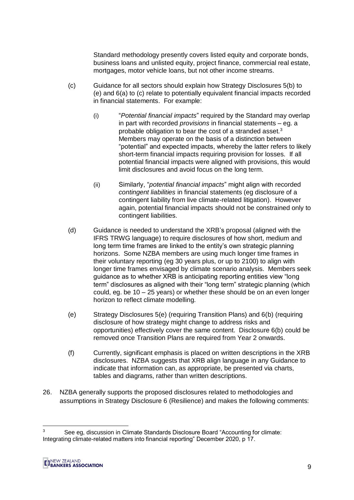Standard methodology presently covers listed equity and corporate bonds, business loans and unlisted equity, project finance, commercial real estate, mortgages, motor vehicle loans, but not other income streams.

- (c) Guidance for all sectors should explain how Strategy Disclosures 5(b) to (e) and 6(a) to (c) relate to potentially equivalent financial impacts recorded in financial statements. For example:
	- (i) "*Potential financial impacts*" required by the Standard may overlap in part with recorded *provisions* in financial statements – eg. a probable obligation to bear the cost of a stranded asset.<sup>3</sup> Members may operate on the basis of a distinction between "potential" and expected impacts, whereby the latter refers to likely short-term financial impacts requiring provision for losses. If all potential financial impacts were aligned with provisions, this would limit disclosures and avoid focus on the long term.
	- (ii) Similarly, "*potential financial impacts*" might align with recorded *contingent liabilities* in financial statements (eg disclosure of a contingent liability from live climate-related litigation). However again, potential financial impacts should not be constrained only to contingent liabilities.
- (d) Guidance is needed to understand the XRB's proposal (aligned with the IFRS TRWG language) to require disclosures of how short, medium and long term time frames are linked to the entity's own strategic planning horizons. Some NZBA members are using much longer time frames in their voluntary reporting (eg 30 years plus, or up to 2100) to align with longer time frames envisaged by climate scenario analysis. Members seek guidance as to whether XRB is anticipating reporting entities view "long term" disclosures as aligned with their "long term" strategic planning (which could, eg. be 10 – 25 years) or whether these should be on an even longer horizon to reflect climate modelling.
- (e) Strategy Disclosures 5(e) (requiring Transition Plans) and 6(b) (requiring disclosure of how strategy might change to address risks and opportunities) effectively cover the same content. Disclosure 6(b) could be removed once Transition Plans are required from Year 2 onwards.
- (f) Currently, significant emphasis is placed on written descriptions in the XRB disclosures. NZBA suggests that XRB align language in any Guidance to indicate that information can, as appropriate, be presented via charts, tables and diagrams, rather than written descriptions.
- 26. NZBA generally supports the proposed disclosures related to methodologies and assumptions in Strategy Disclosure 6 (Resilience) and makes the following comments:

 $\overline{3}$ <sup>3</sup> See eg, discussion in Climate Standards Disclosure Board "Accounting for climate: Integrating climate-related matters into financial reporting" December 2020, p 17.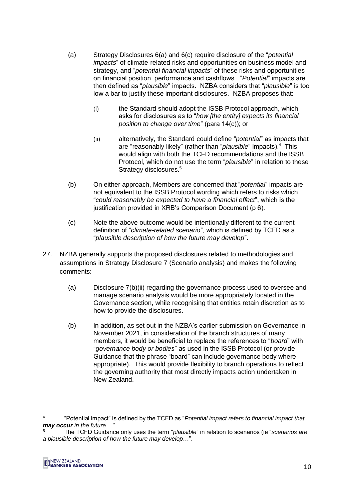- (a) Strategy Disclosures 6(a) and 6(c) require disclosure of the "*potential impacts*" of climate-related risks and opportunities on business model and strategy, and "*potential financial impacts*" of these risks and opportunities on financial position, performance and cashflows. "*Potential*" impacts are then defined as "*plausible*" impacts. NZBA considers that "*plausible*" is too low a bar to justify these important disclosures. NZBA proposes that:
	- (i) the Standard should adopt the ISSB Protocol approach, which asks for disclosures as to "*how [the entity] expects its financial position to change over time*" (para 14(c)); or
	- (ii) alternatively, the Standard could define "*potential*" as impacts that are "reasonably likely" (rather than "*plausible*" impacts).<sup>4</sup> This would align with both the TCFD recommendations and the ISSB Protocol, which do not use the term "*plausible*" in relation to these Strategy disclosures.<sup>5</sup>
- (b) On either approach, Members are concerned that "*potential*" impacts are not equivalent to the ISSB Protocol wording which refers to risks which "*could reasonably be expected to have a financial effect*", which is the justification provided in XRB's Comparison Document (p 6).
- (c) Note the above outcome would be intentionally different to the current definition of "*climate-related scenario*", which is defined by TCFD as a "*plausible description of how the future may develop*".
- 27. NZBA generally supports the proposed disclosures related to methodologies and assumptions in Strategy Disclosure 7 (Scenario analysis) and makes the following comments:
	- (a) Disclosure 7(b)(ii) regarding the governance process used to oversee and manage scenario analysis would be more appropriately located in the Governance section, while recognising that entities retain discretion as to how to provide the disclosures.
	- (b) In addition, as set out in the NZBA's earlier submission on Governance in November 2021, in consideration of the branch structures of many members, it would be beneficial to replace the references to "*board*" with "*governance body or bodies*" as used in the ISSB Protocol (or provide Guidance that the phrase "board" can include governance body where appropriate). This would provide flexibility to branch operations to reflect the governing authority that most directly impacts action undertaken in New Zealand.

<sup>5</sup> The TCFD Guidance only uses the term "*plausible*" in relation to scenarios (ie "*scenarios are a plausible description of how the future may develop*…".



-

<sup>4</sup> "Potential impact" is defined by the TCFD as "*Potential impact refers to financial impact that may occur in the future …*"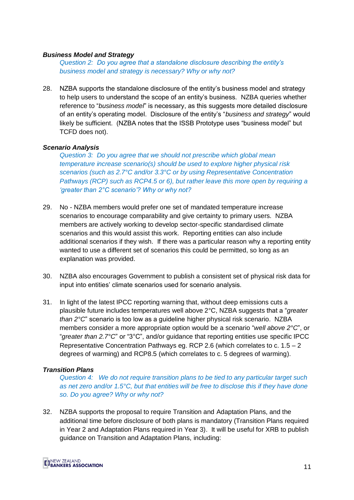#### *Business Model and Strategy*

*Question 2: Do you agree that a standalone disclosure describing the entity's business model and strategy is necessary? Why or why not?*

<span id="page-10-0"></span>28. NZBA supports the standalone disclosure of the entity's business model and strategy to help users to understand the scope of an entity's business. NZBA queries whether reference to "*business model*" is necessary, as this suggests more detailed disclosure of an entity's operating model. Disclosure of the entity's "*business and strategy*" would likely be sufficient. (NZBA notes that the ISSB Prototype uses "business model" but TCFD does not).

#### *Scenario Analysis*

*Question 3: Do you agree that we should not prescribe which global mean temperature increase scenario(s) should be used to explore higher physical risk scenarios (such as 2.7°C and/or 3.3°C or by using Representative Concentration Pathways (RCP) such as RCP4.5 or 6), but rather leave this more open by requiring a 'greater than 2°C scenario'? Why or why not?* 

- 29. No NZBA members would prefer one set of mandated temperature increase scenarios to encourage comparability and give certainty to primary users. NZBA members are actively working to develop sector-specific standardised climate scenarios and this would assist this work. Reporting entities can also include additional scenarios if they wish. If there was a particular reason why a reporting entity wanted to use a different set of scenarios this could be permitted, so long as an explanation was provided.
- 30. NZBA also encourages Government to publish a consistent set of physical risk data for input into entities' climate scenarios used for scenario analysis.
- 31. In light of the latest IPCC reporting warning that, without deep emissions cuts a plausible future includes temperatures well above 2°C, NZBA suggests that a "*greater than 2°C*" scenario is too low as a guideline higher physical risk scenario. NZBA members consider a more appropriate option would be a scenario "*well above 2°C*", or "*greater than 2.7°C*" or "3°C", and/or guidance that reporting entities use specific IPCC Representative Concentration Pathways eg. RCP 2.6 (which correlates to c.  $1.5 - 2$ degrees of warming) and RCP8.5 (which correlates to c. 5 degrees of warming).

#### *Transition Plans*

*Question 4: We do not require transition plans to be tied to any particular target such as net zero and/or 1.5°C, but that entities will be free to disclose this if they have done so. Do you agree? Why or why not?*

32. NZBA supports the proposal to require Transition and Adaptation Plans, and the additional time before disclosure of both plans is mandatory (Transition Plans required in Year 2 and Adaptation Plans required in Year 3). It will be useful for XRB to publish guidance on Transition and Adaptation Plans, including:

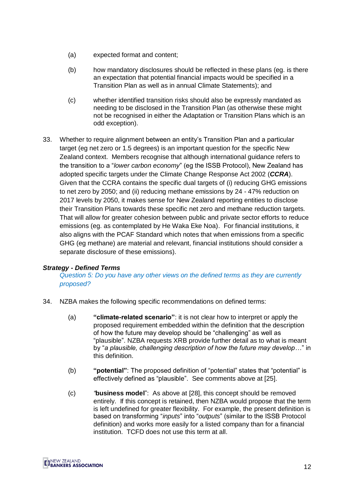- (a) expected format and content;
- (b) how mandatory disclosures should be reflected in these plans (eg. is there an expectation that potential financial impacts would be specified in a Transition Plan as well as in annual Climate Statements); and
- (c) whether identified transition risks should also be expressly mandated as needing to be disclosed in the Transition Plan (as otherwise these might not be recognised in either the Adaptation or Transition Plans which is an odd exception).
- 33. Whether to require alignment between an entity's Transition Plan and a particular target (eg net zero or 1.5 degrees) is an important question for the specific New Zealand context. Members recognise that although international guidance refers to the transition to a "*lower carbon economy*" (eg the ISSB Protocol), New Zealand has adopted specific targets under the Climate Change Response Act 2002 (*CCRA*). Given that the CCRA contains the specific dual targets of (i) reducing GHG emissions to net zero by 2050; and (ii) reducing methane emissions by 24 - 47% reduction on 2017 levels by 2050, it makes sense for New Zealand reporting entities to disclose their Transition Plans towards these specific net zero and methane reduction targets. That will allow for greater cohesion between public and private sector efforts to reduce emissions (eg. as contemplated by He Waka Eke Noa). For financial institutions, it also aligns with the PCAF Standard which notes that when emissions from a specific GHG (eg methane) are material and relevant, financial institutions should consider a separate disclosure of these emissions).

#### *Strategy - Defined Terms*

*Question 5: Do you have any other views on the defined terms as they are currently proposed?*

- 34. NZBA makes the following specific recommendations on defined terms:
	- (a) **"climate-related scenario"**: it is not clear how to interpret or apply the proposed requirement embedded within the definition that the description of how the future may develop should be "challenging" as well as "plausible". NZBA requests XRB provide further detail as to what is meant by "*a plausible, challenging description of how the future may develop…*" in this definition.
	- (b) **"potential"**: The proposed definition of "potential" states that "potential" is effectively defined as "plausible". See comments above at [\[25\]](#page-7-1).
	- (c) *"***business model**": As above at [\[28\]](#page-10-0), this concept should be removed entirely. If this concept is retained, then NZBA would propose that the term is left undefined for greater flexibility. For example, the present definition is based on transforming "*inputs*" into "*outputs*" (similar to the ISSB Protocol definition) and works more easily for a listed company than for a financial institution. TCFD does not use this term at all.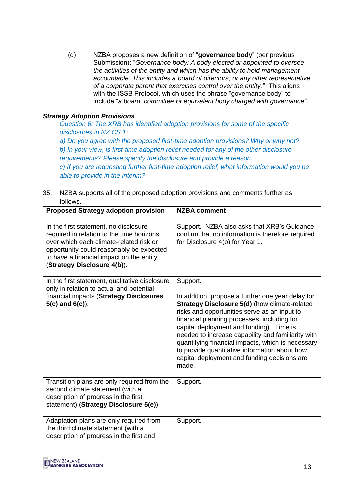(d) NZBA proposes a new definition of "**governance body**" (per previous Submission): "*Governance body: A body elected or appointed to oversee the activities of the entity and which has the ability to hold management accountable. This includes a board of directors, or any other representative of a corporate parent that exercises control over the entity*." This aligns with the ISSB Protocol, which uses the phrase "governance body" to include "*a board, committee or equivalent body charged with governance*".

# *Strategy Adoption Provisions*

*Question 6: The XRB has identified adoption provisions for some of the specific disclosures in NZ CS 1:* 

*a) Do you agree with the proposed first-time adoption provisions? Why or why not? b) In your view, is first-time adoption relief needed for any of the other disclosure requirements? Please specify the disclosure and provide a reason. c) If you are requesting further first-time adoption relief, what information would you be able to provide in the interim?*

35. NZBA supports all of the proposed adoption provisions and comments further as follows.

| <b>Proposed Strategy adoption provision</b>                                                                                                                                                                                                          | <b>NZBA comment</b>                                                                                                                                                                                                                                                                                                                                                                                                                                                            |
|------------------------------------------------------------------------------------------------------------------------------------------------------------------------------------------------------------------------------------------------------|--------------------------------------------------------------------------------------------------------------------------------------------------------------------------------------------------------------------------------------------------------------------------------------------------------------------------------------------------------------------------------------------------------------------------------------------------------------------------------|
| In the first statement, no disclosure<br>required in relation to the time horizons<br>over which each climate-related risk or<br>opportunity could reasonably be expected<br>to have a financial impact on the entity<br>(Strategy Disclosure 4(b)). | Support. NZBA also asks that XRB's Guidance<br>confirm that no information is therefore required<br>for Disclosure 4(b) for Year 1.                                                                                                                                                                                                                                                                                                                                            |
| In the first statement, qualitative disclosure<br>only in relation to actual and potential<br>financial impacts (Strategy Disclosures<br>$5(c)$ and $6(c)$ ).                                                                                        | Support.<br>In addition, propose a further one year delay for<br>Strategy Disclosure 5(d) (how climate-related<br>risks and opportunities serve as an input to<br>financial planning processes, including for<br>capital deployment and funding). Time is<br>needed to increase capability and familiarity with<br>quantifying financial impacts, which is necessary<br>to provide quantitative information about how<br>capital deployment and funding decisions are<br>made. |
| Transition plans are only required from the<br>second climate statement (with a<br>description of progress in the first<br>statement) (Strategy Disclosure 5(e)).                                                                                    | Support.                                                                                                                                                                                                                                                                                                                                                                                                                                                                       |
| Adaptation plans are only required from<br>the third climate statement (with a<br>description of progress in the first and                                                                                                                           | Support.                                                                                                                                                                                                                                                                                                                                                                                                                                                                       |

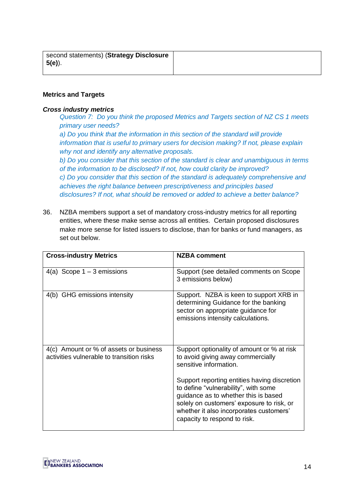| second statements) (Strategy Disclosure |
|-----------------------------------------|
| 5(e)).                                  |

## **Metrics and Targets**

## *Cross industry metrics*

*Question 7: Do you think the proposed Metrics and Targets section of NZ CS 1 meets primary user needs?* 

*a) Do you think that the information in this section of the standard will provide information that is useful to primary users for decision making? If not, please explain why not and identify any alternative proposals.* 

*b) Do you consider that this section of the standard is clear and unambiguous in terms of the information to be disclosed? If not, how could clarity be improved? c) Do you consider that this section of the standard is adequately comprehensive and achieves the right balance between prescriptiveness and principles based disclosures? If not, what should be removed or added to achieve a better balance?*

36. NZBA members support a set of mandatory cross-industry metrics for all reporting entities, where these make sense across all entities. Certain proposed disclosures make more sense for listed issuers to disclose, than for banks or fund managers, as set out below.

| <b>Cross-industry Metrics</b>                                                       | <b>NZBA comment</b>                                                                                                                                                                                                                                  |
|-------------------------------------------------------------------------------------|------------------------------------------------------------------------------------------------------------------------------------------------------------------------------------------------------------------------------------------------------|
| 4(a) Scope $1 - 3$ emissions                                                        | Support (see detailed comments on Scope<br>3 emissions below)                                                                                                                                                                                        |
| 4(b) GHG emissions intensity                                                        | Support. NZBA is keen to support XRB in<br>determining Guidance for the banking<br>sector on appropriate guidance for<br>emissions intensity calculations.                                                                                           |
| 4(c) Amount or % of assets or business<br>activities vulnerable to transition risks | Support optionality of amount or % at risk<br>to avoid giving away commercially<br>sensitive information.                                                                                                                                            |
|                                                                                     | Support reporting entities having discretion<br>to define "vulnerability", with some<br>guidance as to whether this is based<br>solely on customers' exposure to risk, or<br>whether it also incorporates customers'<br>capacity to respond to risk. |

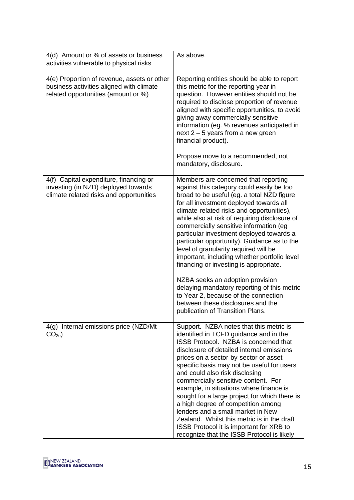| 4(d) Amount or % of assets or business<br>activities vulnerable to physical risks                                              | As above.                                                                                                                                                                                                                                                                                                                                                                                                                                                                                                                                                                                                                                                                                                                                            |
|--------------------------------------------------------------------------------------------------------------------------------|------------------------------------------------------------------------------------------------------------------------------------------------------------------------------------------------------------------------------------------------------------------------------------------------------------------------------------------------------------------------------------------------------------------------------------------------------------------------------------------------------------------------------------------------------------------------------------------------------------------------------------------------------------------------------------------------------------------------------------------------------|
| 4(e) Proportion of revenue, assets or other<br>business activities aligned with climate<br>related opportunities (amount or %) | Reporting entities should be able to report<br>this metric for the reporting year in<br>question. However entities should not be<br>required to disclose proportion of revenue<br>aligned with specific opportunities, to avoid<br>giving away commercially sensitive<br>information (eg. % revenues anticipated in<br>next $2 - 5$ years from a new green<br>financial product).<br>Propose move to a recommended, not<br>mandatory, disclosure.                                                                                                                                                                                                                                                                                                    |
| 4(f) Capital expenditure, financing or<br>investing (in NZD) deployed towards<br>climate related risks and opportunities       | Members are concerned that reporting<br>against this category could easily be too<br>broad to be useful (eg. a total NZD figure<br>for all investment deployed towards all<br>climate-related risks and opportunities),<br>while also at risk of requiring disclosure of<br>commercially sensitive information (eg<br>particular investment deployed towards a<br>particular opportunity). Guidance as to the<br>level of granularity required will be<br>important, including whether portfolio level<br>financing or investing is appropriate.<br>NZBA seeks an adoption provision<br>delaying mandatory reporting of this metric<br>to Year 2, because of the connection<br>between these disclosures and the<br>publication of Transition Plans. |
| 4(g) Internal emissions price (NZD/Mt<br>CO <sub>2e</sub>                                                                      | Support. NZBA notes that this metric is<br>identified in TCFD guidance and in the<br>ISSB Protocol. NZBA is concerned that<br>disclosure of detailed internal emissions<br>prices on a sector-by-sector or asset-<br>specific basis may not be useful for users<br>and could also risk disclosing<br>commercially sensitive content. For<br>example, in situations where finance is<br>sought for a large project for which there is<br>a high degree of competition among<br>lenders and a small market in New<br>Zealand. Whilst this metric is in the draft<br><b>ISSB Protocol it is important for XRB to</b><br>recognize that the ISSB Protocol is likely                                                                                      |

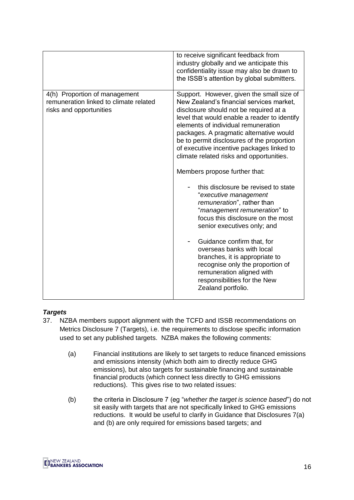|                                                                                                    | to receive significant feedback from<br>industry globally and we anticipate this<br>confidentiality issue may also be drawn to<br>the ISSB's attention by global submitters.                                                                                                                                                                                                                                                                                                                                                                                                                                                                                                                                                                                                                                                                                    |
|----------------------------------------------------------------------------------------------------|-----------------------------------------------------------------------------------------------------------------------------------------------------------------------------------------------------------------------------------------------------------------------------------------------------------------------------------------------------------------------------------------------------------------------------------------------------------------------------------------------------------------------------------------------------------------------------------------------------------------------------------------------------------------------------------------------------------------------------------------------------------------------------------------------------------------------------------------------------------------|
| 4(h) Proportion of management<br>remuneration linked to climate related<br>risks and opportunities | Support. However, given the small size of<br>New Zealand's financial services market,<br>disclosure should not be required at a<br>level that would enable a reader to identify<br>elements of individual remuneration<br>packages. A pragmatic alternative would<br>be to permit disclosures of the proportion<br>of executive incentive packages linked to<br>climate related risks and opportunities.<br>Members propose further that:<br>this disclosure be revised to state<br>"executive management<br>remuneration", rather than<br>"management remuneration" to<br>focus this disclosure on the most<br>senior executives only; and<br>Guidance confirm that, for<br>overseas banks with local<br>branches, it is appropriate to<br>recognise only the proportion of<br>remuneration aligned with<br>responsibilities for the New<br>Zealand portfolio. |

# *Targets*

- 37. NZBA members support alignment with the TCFD and ISSB recommendations on Metrics Disclosure 7 (Targets), i.e. the requirements to disclose specific information used to set any published targets. NZBA makes the following comments:
	- (a) Financial institutions are likely to set targets to reduce financed emissions and emissions intensity (which both aim to directly reduce GHG emissions), but also targets for sustainable financing and sustainable financial products (which connect less directly to GHG emissions reductions). This gives rise to two related issues:
	- (b) the criteria in Disclosure 7 (eg "*whether the target is science based*") do not sit easily with targets that are not specifically linked to GHG emissions reductions. It would be useful to clarify in Guidance that Disclosures 7(a) and (b) are only required for emissions based targets; and

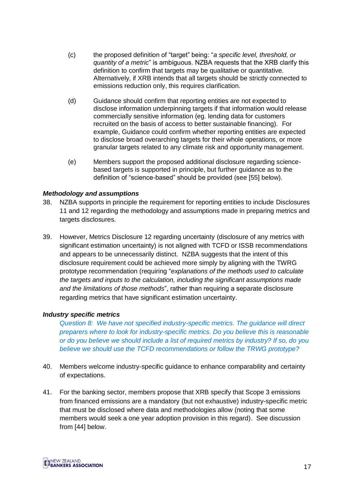- (c) the proposed definition of "target" being: "*a specific level, threshold, or quantity of a metric*" is ambiguous. NZBA requests that the XRB clarify this definition to confirm that targets may be qualitative or quantitative. Alternatively, if XRB intends that all targets should be strictly connected to emissions reduction only, this requires clarification.
- (d) Guidance should confirm that reporting entities are not expected to disclose information underpinning targets if that information would release commercially sensitive information (eg. lending data for customers recruited on the basis of access to better sustainable financing). For example, Guidance could confirm whether reporting entities are expected to disclose broad overarching targets for their whole operations, or more granular targets related to any climate risk and opportunity management.
- (e) Members support the proposed additional disclosure regarding sciencebased targets is supported in principle, but further guidance as to the definition of "science-based" should be provided (see [\[55\]](#page-20-0) below).

#### *Methodology and assumptions*

- 38. NZBA supports in principle the requirement for reporting entities to include Disclosures 11 and 12 regarding the methodology and assumptions made in preparing metrics and targets disclosures.
- 39. However, Metrics Disclosure 12 regarding uncertainty (disclosure of any metrics with significant estimation uncertainty) is not aligned with TCFD or ISSB recommendations and appears to be unnecessarily distinct. NZBA suggests that the intent of this disclosure requirement could be achieved more simply by aligning with the TWRG prototype recommendation (requiring "*explanations of the methods used to calculate the targets and inputs to the calculation, including the significant assumptions made and the limitations of those methods*", rather than requiring a separate disclosure regarding metrics that have significant estimation uncertainty.

#### *Industry specific metrics*

*Question 8: We have not specified industry-specific metrics. The guidance will direct preparers where to look for industry-specific metrics. Do you believe this is reasonable or do you believe we should include a list of required metrics by industry? If so, do you believe we should use the TCFD recommendations or follow the TRWG prototype?*

- 40. Members welcome industry-specific guidance to enhance comparability and certainty of expectations.
- 41. For the banking sector, members propose that XRB specify that Scope 3 emissions from financed emissions are a mandatory (but not exhaustive) industry-specific metric that must be disclosed where data and methodologies allow (noting that some members would seek a one year adoption provision in this regard). See discussion from [\[44\]](#page-17-0) below.

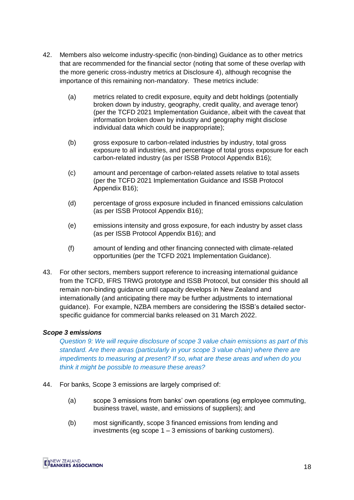- 42. Members also welcome industry-specific (non-binding) Guidance as to other metrics that are recommended for the financial sector (noting that some of these overlap with the more generic cross-industry metrics at Disclosure 4), although recognise the importance of this remaining non-mandatory. These metrics include:
	- (a) metrics related to credit exposure, equity and debt holdings (potentially broken down by industry, geography, credit quality, and average tenor) (per the TCFD 2021 Implementation Guidance, albeit with the caveat that information broken down by industry and geography might disclose individual data which could be inappropriate);
	- (b) gross exposure to carbon-related industries by industry, total gross exposure to all industries, and percentage of total gross exposure for each carbon-related industry (as per ISSB Protocol Appendix B16);
	- (c) amount and percentage of carbon-related assets relative to total assets (per the TCFD 2021 Implementation Guidance and ISSB Protocol Appendix B16);
	- (d) percentage of gross exposure included in financed emissions calculation (as per ISSB Protocol Appendix B16);
	- (e) emissions intensity and gross exposure, for each industry by asset class (as per ISSB Protocol Appendix B16); and
	- (f) amount of lending and other financing connected with climate-related opportunities (per the TCFD 2021 Implementation Guidance).
- 43. For other sectors, members support reference to increasing international guidance from the TCFD, IFRS TRWG prototype and ISSB Protocol, but consider this should all remain non-binding guidance until capacity develops in New Zealand and internationally (and anticipating there may be further adjustments to international guidance). For example, NZBA members are considering the ISSB's detailed sectorspecific guidance for commercial banks released on 31 March 2022.

#### *Scope 3 emissions*

*Question 9: We will require disclosure of scope 3 value chain emissions as part of this standard. Are there areas (particularly in your scope 3 value chain) where there are impediments to measuring at present? If so, what are these areas and when do you think it might be possible to measure these areas?*

- <span id="page-17-0"></span>44. For banks, Scope 3 emissions are largely comprised of:
	- (a) scope 3 emissions from banks' own operations (eg employee commuting, business travel, waste, and emissions of suppliers); and
	- (b) most significantly, scope 3 financed emissions from lending and investments (eg scope  $1 - 3$  emissions of banking customers).

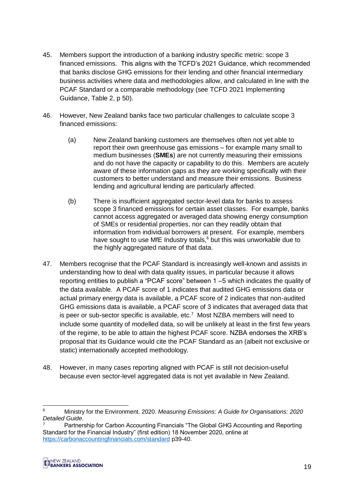- 45. Members support the introduction of a banking industry specific metric: scope 3 financed emissions. This aligns with the TCFD's 2021 Guidance, which recommended that banks disclose GHG emissions for their lending and other financial intermediary business activities where data and methodologies allow, and calculated in line with the PCAF Standard or a comparable methodology (see TCFD 2021 Implementing Guidance, Table 2, p 50).
- 46. However, New Zealand banks face two particular challenges to calculate scope 3 financed emissions:
	- (a) New Zealand banking customers are themselves often not yet able to report their own greenhouse gas emissions – for example many small to medium businesses (**SMEs**) are not currently measuring their emissions and do not have the capacity or capability to do this. Members are acutely aware of these information gaps as they are working specifically with their customers to better understand and measure their emissions. Business lending and agricultural lending are particularly affected.
	- (b) There is insufficient aggregated sector-level data for banks to assess scope 3 financed emissions for certain asset classes. For example, banks cannot access aggregated or averaged data showing energy consumption of SMEs or residential properties, nor can they readily obtain that information from individual borrowers at present. For example, members have sought to use MfE Industry totals, $6$  but this was unworkable due to the highly aggregated nature of that data.
- 47. Members recognise that the PCAF Standard is increasingly well-known and assists in understanding how to deal with data quality issues, in particular because it allows reporting entities to publish a "PCAF score" between 1 –5 which indicates the quality of the data available. A PCAF score of 1 indicates that audited GHG emissions data or actual primary energy data is available, a PCAF score of 2 indicates that non-audited GHG emissions data is available, a PCAF score of 3 indicates that averaged data that is peer or sub-sector specific is available, etc*.* <sup>7</sup> Most NZBA members will need to include some quantity of modelled data, so will be unlikely at least in the first few years of the regime, to be able to attain the highest PCAF score. NZBA endorses the XRB's proposal that its Guidance would cite the PCAF Standard as an (albeit not exclusive or static) internationally accepted methodology.
- 48. However, in many cases reporting aligned with PCAF is still not decision-useful because even sector-level aggregated data is not yet available in New Zealand.

 $\boldsymbol{\kappa}$ <sup>6</sup> Ministry for the Environment. 2020. *Measuring Emissions: A Guide for Organisations: 2020 Detailed Guide*.

<sup>7</sup> Partnership for Carbon Accounting Financials "The Global GHG Accounting and Reporting Standard for the Financial Industry" (first edition) 18 November 2020, online at <https://carbonaccountingfinancials.com/standard> p39-40.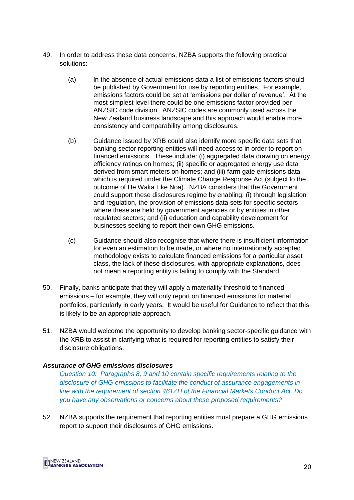- 49. In order to address these data concerns, NZBA supports the following practical solutions:
	- (a) In the absence of actual emissions data a list of emissions factors should be published by Government for use by reporting entities. For example, emissions factors could be set at 'emissions per dollar of revenue'. At the most simplest level there could be one emissions factor provided per ANZSIC code division. ANZSIC codes are commonly used across the New Zealand business landscape and this approach would enable more consistency and comparability among disclosures.
	- (b) Guidance issued by XRB could also identify more specific data sets that banking sector reporting entities will need access to in order to report on financed emissions. These include: (i) aggregated data drawing on energy efficiency ratings on homes; (ii) specific or aggregated energy use data derived from smart meters on homes; and (iii) farm gate emissions data which is required under the Climate Change Response Act (subject to the outcome of He Waka Eke Noa). NZBA considers that the Government could support these disclosures regime by enabling: (i) through legislation and regulation, the provision of emissions data sets for specific sectors where these are held by government agencies or by entities in other regulated sectors; and (ii) education and capability development for businesses seeking to report their own GHG emissions.
	- (c) Guidance should also recognise that where there is insufficient information for even an estimation to be made, or where no internationally accepted methodology exists to calculate financed emissions for a particular asset class, the lack of these disclosures, with appropriate explanations, does not mean a reporting entity is failing to comply with the Standard.
- 50. Finally, banks anticipate that they will apply a materiality threshold to financed emissions – for example, they will only report on financed emissions for material portfolios, particularly in early years. It would be useful for Guidance to reflect that this is likely to be an appropriate approach.
- 51. NZBA would welcome the opportunity to develop banking sector-specific guidance with the XRB to assist in clarifying what is required for reporting entities to satisfy their disclosure obligations.

#### *Assurance of GHG emissions disclosures*

*Question 10: Paragraphs 8, 9 and 10 contain specific requirements relating to the disclosure of GHG emissions to facilitate the conduct of assurance engagements in line with the requirement of section 461ZH of the Financial Markets Conduct Act. Do you have any observations or concerns about these proposed requirements?*

52. NZBA supports the requirement that reporting entities must prepare a GHG emissions report to support their disclosures of GHG emissions.

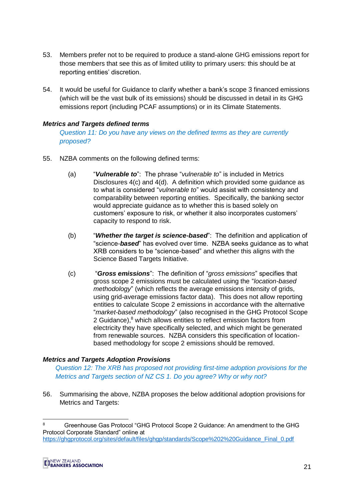- 53. Members prefer not to be required to produce a stand-alone GHG emissions report for those members that see this as of limited utility to primary users: this should be at reporting entities' discretion.
- 54. It would be useful for Guidance to clarify whether a bank's scope 3 financed emissions (which will be the vast bulk of its emissions) should be discussed in detail in its GHG emissions report (including PCAF assumptions) or in its Climate Statements.

#### *Metrics and Targets defined terms*

*Question 11: Do you have any views on the defined terms as they are currently proposed?*

- <span id="page-20-0"></span>55. NZBA comments on the following defined terms:
	- (a) "*Vulnerable to*": The phrase "*vulnerable to*" is included in Metrics Disclosures 4(c) and 4(d). A definition which provided some guidance as to what is considered "*vulnerable to*" would assist with consistency and comparability between reporting entities. Specifically, the banking sector would appreciate guidance as to whether this is based solely on customers' exposure to risk, or whether it also incorporates customers' capacity to respond to risk.
	- (b) "*Whether the target is science-based*": The definition and application of "science-*based*" has evolved over time. NZBA seeks guidance as to what XRB considers to be "science-based" and whether this aligns with the Science Based Targets Initiative.
	- (c) "*Gross emissions*": The definition of "*gross emissions*" specifies that gross scope 2 emissions must be calculated using the "*location-based methodology*" (which reflects the average emissions intensity of grids, using grid-average emissions factor data). This does not allow reporting entities to calculate Scope 2 emissions in accordance with the alternative "*market-based methodology*" (also recognised in the GHG Protocol Scope 2 Guidance),<sup>8</sup> which allows entities to reflect emission factors from electricity they have specifically selected, and which might be generated from renewable sources. NZBA considers this specification of locationbased methodology for scope 2 emissions should be removed.

#### *Metrics and Targets Adoption Provisions*

*Question 12: The XRB has proposed not providing first-time adoption provisions for the Metrics and Targets section of NZ CS 1. Do you agree? Why or why not?*

56. Summarising the above, NZBA proposes the below additional adoption provisions for Metrics and Targets:

<sup>8</sup> **6 Greenhouse Gas Protocol "GHG Protocol Scope 2 Guidance: An amendment to the GHG** Protocol Corporate Standard" online at [https://ghgprotocol.org/sites/default/files/ghgp/standards/Scope%202%20Guidance\\_Final\\_0.pdf](https://ghgprotocol.org/sites/default/files/ghgp/standards/Scope%202%20Guidance_Final_0.pdf)



-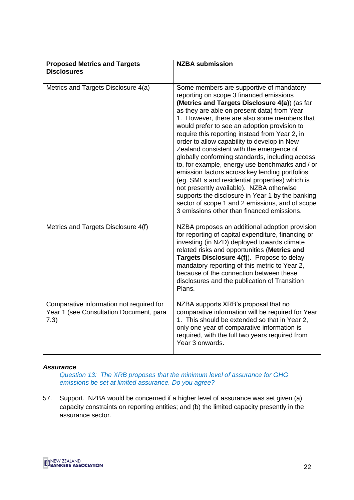| <b>Proposed Metrics and Targets</b><br><b>Disclosures</b>                                   | <b>NZBA submission</b>                                                                                                                                                                                                                                                                                                                                                                                                                                                                                                                                                                                                                                                                                                                                                                                                                      |
|---------------------------------------------------------------------------------------------|---------------------------------------------------------------------------------------------------------------------------------------------------------------------------------------------------------------------------------------------------------------------------------------------------------------------------------------------------------------------------------------------------------------------------------------------------------------------------------------------------------------------------------------------------------------------------------------------------------------------------------------------------------------------------------------------------------------------------------------------------------------------------------------------------------------------------------------------|
| Metrics and Targets Disclosure 4(a)                                                         | Some members are supportive of mandatory<br>reporting on scope 3 financed emissions<br>(Metrics and Targets Disclosure 4(a)) (as far<br>as they are able on present data) from Year<br>1. However, there are also some members that<br>would prefer to see an adoption provision to<br>require this reporting instead from Year 2, in<br>order to allow capability to develop in New<br>Zealand consistent with the emergence of<br>globally conforming standards, including access<br>to, for example, energy use benchmarks and / or<br>emission factors across key lending portfolios<br>(eg. SMEs and residential properties) which is<br>not presently available). NZBA otherwise<br>supports the disclosure in Year 1 by the banking<br>sector of scope 1 and 2 emissions, and of scope<br>3 emissions other than financed emissions. |
| Metrics and Targets Disclosure 4(f)                                                         | NZBA proposes an additional adoption provision<br>for reporting of capital expenditure, financing or<br>investing (in NZD) deployed towards climate<br>related risks and opportunities (Metrics and<br>Targets Disclosure 4(f)). Propose to delay<br>mandatory reporting of this metric to Year 2,<br>because of the connection between these<br>disclosures and the publication of Transition<br>Plans.                                                                                                                                                                                                                                                                                                                                                                                                                                    |
| Comparative information not required for<br>Year 1 (see Consultation Document, para<br>7.3) | NZBA supports XRB's proposal that no<br>comparative information will be required for Year<br>1. This should be extended so that in Year 2,<br>only one year of comparative information is<br>required, with the full two years required from<br>Year 3 onwards.                                                                                                                                                                                                                                                                                                                                                                                                                                                                                                                                                                             |

#### *Assurance*

*Question 13: The XRB proposes that the minimum level of assurance for GHG emissions be set at limited assurance. Do you agree?*

57. Support. NZBA would be concerned if a higher level of assurance was set given (a) capacity constraints on reporting entities; and (b) the limited capacity presently in the assurance sector.

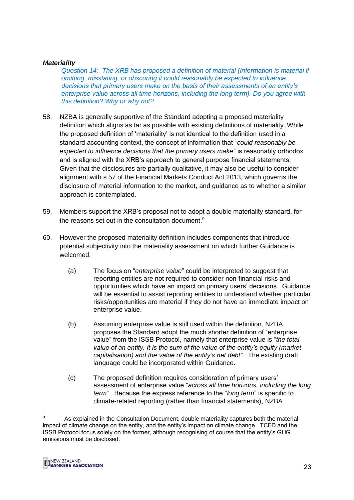#### *Materiality*

*Question 14: The XRB has proposed a definition of material (Information is material if omitting, misstating, or obscuring it could reasonably be expected to influence decisions that primary users make on the basis of their assessments of an entity's enterprise value across all time horizons, including the long term). Do you agree with this definition? Why or why not?*

- 58. NZBA is generally supportive of the Standard adopting a proposed materiality definition which aligns as far as possible with existing definitions of materiality. While the proposed definition of 'materiality' is not identical to the definition used in a standard accounting context, the concept of information that "*could reasonably be expected to influence decisions that the primary users make*" is reasonably orthodox and is aligned with the XRB's approach to general purpose financial statements. Given that the disclosures are partially qualitative, it may also be useful to consider alignment with s 57 of the Financial Markets Conduct Act 2013, which governs the disclosure of material information to the market, and guidance as to whether a similar approach is contemplated.
- 59. Members support the XRB's proposal not to adopt a double materiality standard, for the reasons set out in the consultation document.<sup>9</sup>
- 60. However the proposed materiality definition includes components that introduce potential subjectivity into the materiality assessment on which further Guidance is welcomed:
	- (a) The focus on "*enterprise value*" could be interpreted to suggest that reporting entities are not required to consider non-financial risks and opportunities which have an impact on primary users' decisions*.* Guidance will be essential to assist reporting entities to understand whether particular risks/opportunities are material if they do not have an immediate impact on enterprise value.
	- (b) Assuming enterprise value is still used within the definition, NZBA proposes the Standard adopt the much shorter definition of "enterprise value" from the ISSB Protocol, namely that enterprise value is "*the total value of an entity. It is the sum of the value of the entity's equity (market capitalisation) and the value of the entity's net debt".* The existing draft language could be incorporated within Guidance.
	- (c) The proposed definition requires consideration of primary users' assessment of enterprise value "*across all time horizons, including the long term*". Because the express reference to the "*long term*" is specific to climate-related reporting (rather than financial statements), NZBA

<sup>-</sup>As explained in the Consultation Document, double materiality captures both the material impact of climate change on the entity, and the entity's impact on climate change. TCFD and the ISSB Protocol focus solely on the former, although recognising of course that the entity's GHG emissions must be disclosed.